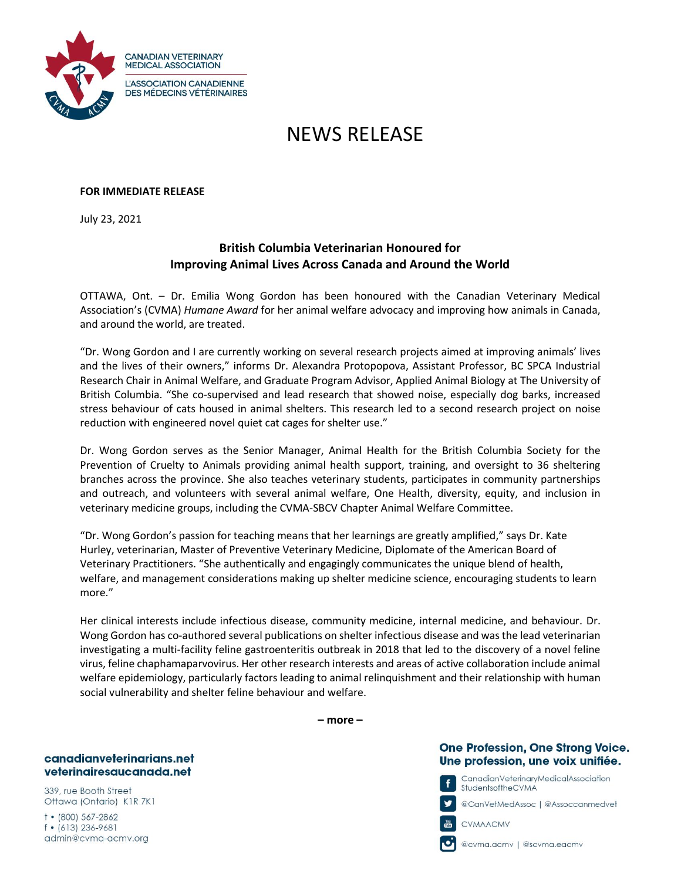

# NEWS RELEASE

#### **FOR IMMEDIATE RELEASE**

July 23, 2021

## **British Columbia Veterinarian Honoured for Improving Animal Lives Across Canada and Around the World**

OTTAWA, Ont. – Dr. Emilia Wong Gordon has been honoured with the Canadian Veterinary Medical Association's (CVMA) *Humane Award* for her animal welfare advocacy and improving how animals in Canada, and around the world, are treated.

"Dr. Wong Gordon and I are currently working on several research projects aimed at improving animals' lives and the lives of their owners," informs Dr. Alexandra Protopopova, Assistant Professor, BC SPCA Industrial Research Chair in Animal Welfare, and Graduate Program Advisor, Applied Animal Biology at The University of British Columbia. "She co-supervised and lead research that showed noise, especially dog barks, increased stress behaviour of cats housed in animal shelters. This research led to a second research project on noise reduction with engineered novel quiet cat cages for shelter use."

Dr. Wong Gordon serves as the Senior Manager, Animal Health for the British Columbia Society for the Prevention of Cruelty to Animals providing animal health support, training, and oversight to 36 sheltering branches across the province. She also teaches veterinary students, participates in community partnerships and outreach, and volunteers with several animal welfare, One Health, diversity, equity, and inclusion in veterinary medicine groups, including the CVMA-SBCV Chapter Animal Welfare Committee.

"Dr. Wong Gordon's passion for teaching means that her learnings are greatly amplified," says Dr. Kate Hurley, veterinarian, Master of Preventive Veterinary Medicine, Diplomate of the American Board of Veterinary Practitioners. "She authentically and engagingly communicates the unique blend of health, welfare, and management considerations making up shelter medicine science, encouraging students to learn more."

Her clinical interests include infectious disease, community medicine, internal medicine, and behaviour. Dr. Wong Gordon has co-authored several publications on shelter infectious disease and was the lead veterinarian investigating a multi-facility feline gastroenteritis outbreak in 2018 that led to the discovery of a novel feline virus, feline chaphamaparvovirus. Her other research interests and areas of active collaboration include animal welfare epidemiology, particularly factors leading to animal relinquishment and their relationship with human social vulnerability and shelter feline behaviour and welfare.

**– more –**

## **One Profession, One Strong Voice.** Une profession, une voix unifiée.

CanadianVeterinaryMedicalAssociation StudentsoftheCVMA

@CanVełMedAssoc | @Assoccanmedveł

CVMAACMV

@cvma.acmv | @scvma.eacmv

canadianveterinarians.net veterinairesaucanada.net

339, rue Booth Street Ottawa (Ontario) K1R 7K1

 $†•(800)567-2862$  $f$  • (613) 236-9681 admin@cvma-acmv.org